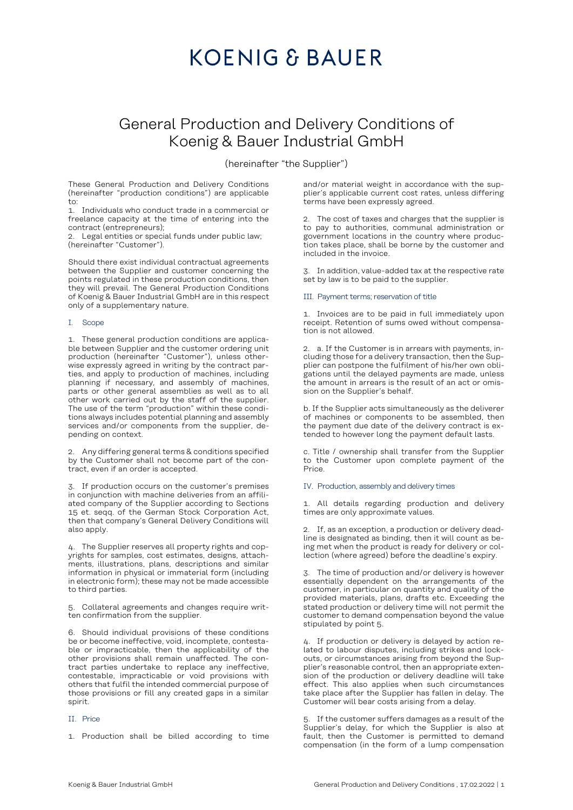### **KOENIG & BAUER**

### General Production and Delivery Conditions of Koenig & Bauer Industrial GmbH

(hereinafter "the Supplier")

These General Production and Delivery Conditions (hereinafter "production conditions") are applicable to:

1. Individuals who conduct trade in a commercial or freelance capacity at the time of entering into the contract (entrepreneurs);

2. Legal entities or special funds under public law; (hereinafter "Customer").

Should there exist individual contractual agreements between the Supplier and customer concerning the points regulated in these production conditions, then they will prevail. The General Production Conditions of Koenig & Bauer Industrial GmbH are in this respect only of a supplementary nature.

#### I. Scope

1. These general production conditions are applicable between Supplier and the customer ordering unit production (hereinafter "Customer"), unless otherwise expressly agreed in writing by the contract parties, and apply to production of machines, including planning if necessary, and assembly of machines, parts or other general assemblies as well as to all other work carried out by the staff of the supplier. The use of the term "production" within these conditions always includes potential planning and assembly services and/or components from the supplier, depending on context.

2. Any differing general terms & conditions specified by the Customer shall not become part of the contract, even if an order is accepted.

3. If production occurs on the customer's premises in conjunction with machine deliveries from an affiliated company of the Supplier according to Sections 15 et. seqq. of the German Stock Corporation Act, then that company's General Delivery Conditions will also apply.

4. The Supplier reserves all property rights and copyrights for samples, cost estimates, designs, attachments, illustrations, plans, descriptions and similar information in physical or immaterial form (including in electronic form); these may not be made accessible to third parties.

5. Collateral agreements and changes require written confirmation from the supplier.

6. Should individual provisions of these conditions be or become ineffective, void, incomplete, contestable or impracticable, then the applicability of the other provisions shall remain unaffected. The contract parties undertake to replace any ineffective, contestable, impracticable or void provisions with others that fulfil the intended commercial purpose of those provisions or fill any created gaps in a similar spirit.

#### II. Price

1. Production shall be billed according to time

and/or material weight in accordance with the supplier's applicable current cost rates, unless differing terms have been expressly agreed.

2. The cost of taxes and charges that the supplier is to pay to authorities, communal administration or government locations in the country where production takes place, shall be borne by the customer and included in the invoice.

3. In addition, value-added tax at the respective rate set by law is to be paid to the supplier.

#### III. Payment terms; reservation of title

1. Invoices are to be paid in full immediately upon receipt. Retention of sums owed without compensation is not allowed.

2. a. If the Customer is in arrears with payments, including those for a delivery transaction, then the Supplier can postpone the fulfilment of his/her own obligations until the delayed payments are made, unless the amount in arrears is the result of an act or omission on the Supplier's behalf.

b. If the Supplier acts simultaneously as the deliverer of machines or components to be assembled, then the payment due date of the delivery contract is extended to however long the payment default lasts.

c. Title / ownership shall transfer from the Supplier to the Customer upon complete payment of the Price.

#### IV. Production, assembly and delivery times

1. All details regarding production and delivery times are only approximate values.

2. If, as an exception, a production or delivery deadline is designated as binding, then it will count as being met when the product is ready for delivery or collection (where agreed) before the deadline's expiry.

3. The time of production and/or delivery is however essentially dependent on the arrangements of the customer, in particular on quantity and quality of the provided materials, plans, drafts etc. Exceeding the stated production or delivery time will not permit the customer to demand compensation beyond the value stipulated by point 5.

4. If production or delivery is delayed by action related to labour disputes, including strikes and lockouts, or circumstances arising from beyond the Supplier's reasonable control, then an appropriate extension of the production or delivery deadline will take effect. This also applies when such circumstances take place after the Supplier has fallen in delay. The Customer will bear costs arising from a delay.

5. If the customer suffers damages as a result of the Supplier's delay, for which the Supplier is also at fault, then the Customer is permitted to demand compensation (in the form of a lump compensation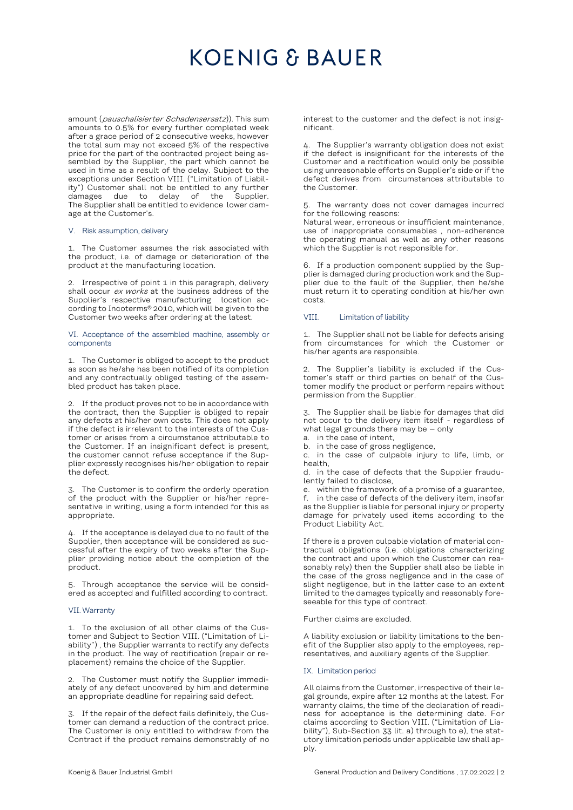## **KOENIG & BAUER**

amount (*pauschalisierter Schadensersatz*)). This sum amounts to 0.5% for every further completed week after a grace period of 2 consecutive weeks, however the total sum may not exceed 5% of the respective price for the part of the contracted project being assembled by the Supplier, the part which cannot be used in time as a result of the delay. Subject to the exceptions under Section VIII. ("Limitation of Liability") Customer shall not be entitled to any further damages due to delay of the The Supplier shall be entitled to evidence lower damage at the Customer's.

#### V. Risk assumption, delivery

1. The Customer assumes the risk associated with the product, i.e. of damage or deterioration of the product at the manufacturing location.

2. Irrespective of point 1 in this paragraph, delivery shall occur ex works at the business address of the Supplier's respective manufacturing location according to Incoterms® 2010, which will be given to the Customer two weeks after ordering at the latest.

VI. Acceptance of the assembled machine, assembly or components

1. The Customer is obliged to accept to the product as soon as he/she has been notified of its completion and any contractually obliged testing of the assembled product has taken place.

2. If the product proves not to be in accordance with the contract, then the Supplier is obliged to repair any defects at his/her own costs. This does not apply if the defect is irrelevant to the interests of the Customer or arises from a circumstance attributable to the Customer. If an insignificant defect is present, the customer cannot refuse acceptance if the Supplier expressly recognises his/her obligation to repair the defect.

3. The Customer is to confirm the orderly operation of the product with the Supplier or his/her representative in writing, using a form intended for this as appropriate.

4. If the acceptance is delayed due to no fault of the Supplier, then acceptance will be considered as successful after the expiry of two weeks after the Supplier providing notice about the completion of the product.

5. Through acceptance the service will be considered as accepted and fulfilled according to contract.

#### VII.Warranty

1. To the exclusion of all other claims of the Customer and Subject to Section VIII. ("Limitation of Liability") , the Supplier warrants to rectify any defects in the product. The way of rectification (repair or replacement) remains the choice of the Supplier.

2. The Customer must notify the Supplier immediately of any defect uncovered by him and determine an appropriate deadline for repairing said defect.

3. If the repair of the defect fails definitely, the Customer can demand a reduction of the contract price. The Customer is only entitled to withdraw from the Contract if the product remains demonstrably of no interest to the customer and the defect is not insignificant.

4. The Supplier's warranty obligation does not exist if the defect is insignificant for the interests of the Customer and a rectification would only be possible using unreasonable efforts on Supplier's side or if the defect derives from circumstances attributable to the Customer.

5. The warranty does not cover damages incurred for the following reasons:

Natural wear, erroneous or insufficient maintenance, use of inappropriate consumables , non-adherence the operating manual as well as any other reasons which the Supplier is not responsible for.

6. If a production component supplied by the Supplier is damaged during production work and the Supplier due to the fault of the Supplier, then he/she must return it to operating condition at his/her own costs.

#### VIII. Limitation of liability

1. The Supplier shall not be liable for defects arising from circumstances for which the Customer or his/her agents are responsible.

2. The Supplier's liability is excluded if the Customer's staff or third parties on behalf of the Customer modify the product or perform repairs without permission from the Supplier.

3. The Supplier shall be liable for damages that did not occur to the delivery item itself - regardless of what legal grounds there may be  $-$  only

a. in the case of intent,

b. in the case of gross negligence,

c. in the case of culpable injury to life, limb, or health,

d. in the case of defects that the Supplier fraudulently failed to disclose,

e. within the framework of a promise of a guarantee, f. in the case of defects of the delivery item, insofar as the Supplier is liable for personal injury or property damage for privately used items according to the Product Liability Act.

If there is a proven culpable violation of material contractual obligations (i.e. obligations characterizing the contract and upon which the Customer can reasonably rely) then the Supplier shall also be liable in the case of the gross negligence and in the case of slight negligence, but in the latter case to an extent limited to the damages typically and reasonably foreseeable for this type of contract.

Further claims are excluded.

A liability exclusion or liability limitations to the benefit of the Supplier also apply to the employees, representatives, and auxiliary agents of the Supplier.

#### IX. Limitation period

All claims from the Customer, irrespective of their legal grounds, expire after 12 months at the latest. For warranty claims, the time of the declaration of readiness for acceptance is the determining date. For claims according to Section VIII. ("Limitation of Liability"), Sub-Section 33 lit. a) through to e), the statutory limitation periods under applicable law shall apply.